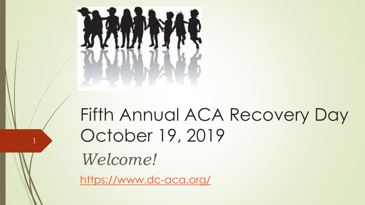

### Fifth Annual ACA Recovery Day October 19, 2019

*Welcome!*

1

<https://www.dc-aca.org/>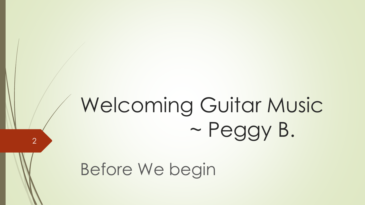# Welcoming Guitar Music ~ Peggy B.

Before We begin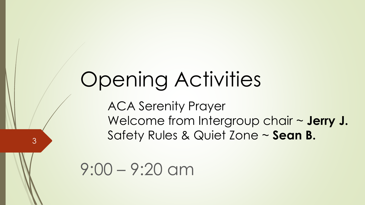## Opening Activities

ACA Serenity Prayer Welcome from Intergroup chair ~ **Jerry J.** Safety Rules & Quiet Zone ~ **Sean B.**

9:00 – 9:20 am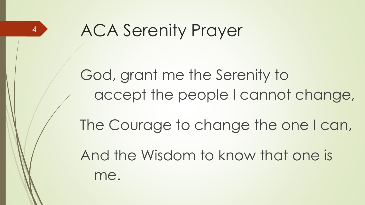

ACA Serenity Prayer

God, grant me the Serenity to accept the people I cannot change, The Courage to change the one I can, And the Wisdom to know that one is

me.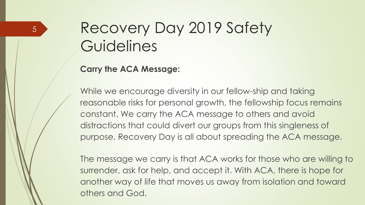#### **Carry the ACA Message:**

While we encourage diversity in our fellow-ship and taking reasonable risks for personal growth, the fellowship focus remains constant. We carry the ACA message to others and avoid distractions that could divert our groups from this singleness of purpose. Recovery Day is all about spreading the ACA message.

The message we carry is that ACA works for those who are willing to surrender, ask for help, and accept it. With ACA, there is hope for another way of life that moves us away from isolation and toward others and God.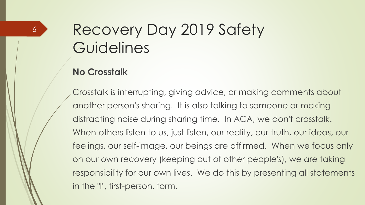#### **No Crosstalk**

6

Crosstalk is interrupting, giving advice, or making comments about another person's sharing. It is also talking to someone or making distracting noise during sharing time. In ACA, we don't crosstalk. When others listen to us, just listen, our reality, our truth, our ideas, our feelings, our self-image, our beings are affirmed. When we focus only on our own recovery (keeping out of other people's), we are taking responsibility for our own lives. We do this by presenting all statements in the "I", first-person, form.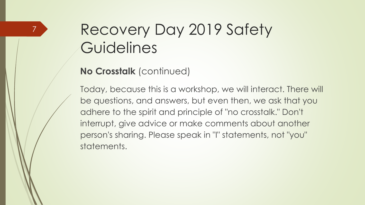#### **No Crosstalk** (continued)

7

Today, because this is a workshop, we will interact. There will be questions, and answers, but even then, we ask that you adhere to the spirit and principle of "no crosstalk." Don't interrupt, give advice or make comments about another person's sharing. Please speak in "I" statements, not "you" statements.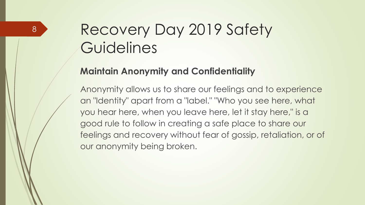#### **Maintain Anonymity and Confidentiality**

Anonymity allows us to share our feelings and to experience an "Identity" apart from a "label." "Who you see here, what you hear here, when you leave here, let it stay here," is a good rule to follow in creating a safe place to share our feelings and recovery without fear of gossip, retaliation, or of our anonymity being broken.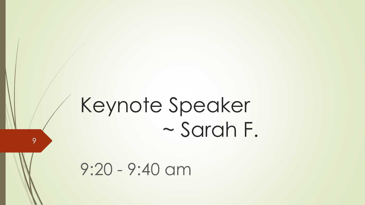## Keynote Speaker ~ Sarah F.

9:20 - 9:40 am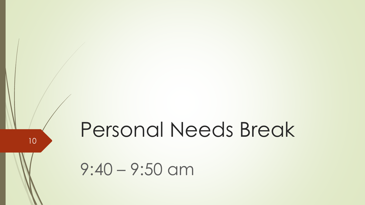Personal Needs Break

9:40 – 9:50 am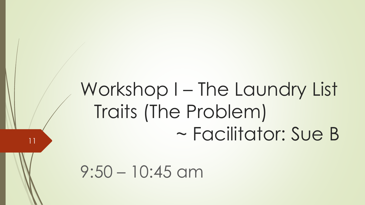## Workshop I – The Laundry List Traits (The Problem) ~ Facilitator: Sue B

 $9:50 - 10:45$  am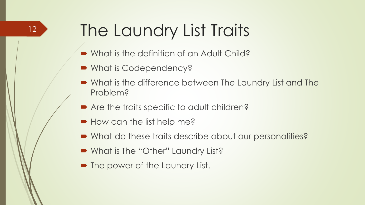### The Laundry List Traits

- What is the definition of an Adult Child?
- What is Codependency?
- What is the difference between The Laundry List and The Problem?
- Are the traits specific to adult children?
- How can the list help me?
- What do these traits describe about our personalities?
- What is The "Other" Laundry List?
- The power of the Laundry List.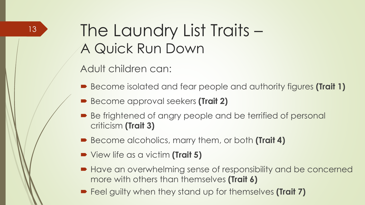#### The Laundry List Traits – A Quick Run Down

Adult children can:

- Become isolated and fear people and authority figures **(Trait 1)**
- Become approval seekers **(Trait 2)**
- Be frightened of angry people and be terrified of personal criticism **(Trait 3)**
- Become alcoholics, marry them, or both **(Trait 4)**
- View life as a victim **(Trait 5)**
- Have an overwhelming sense of responsibility and be concerned more with others than themselves **(Trait 6)**
- Feel guilty when they stand up for themselves **(Trait 7)**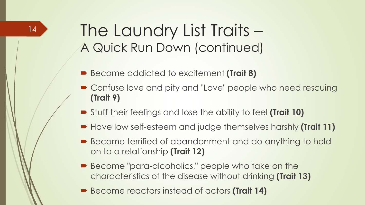#### The Laundry List Traits – A Quick Run Down (continued)

- Become addicted to excitement **(Trait 8)**
- Confuse love and pity and "Love" people who need rescuing **(Trait 9)**
- Stuff their feelings and lose the ability to feel **(Trait 10)**
- Have low self-esteem and judge themselves harshly **(Trait 11)**
- Become terrified of abandonment and do anything to hold on to a relationship **(Trait 12)**
- Become "para-alcoholics," people who take on the characteristics of the disease without drinking **(Trait 13)**
- Become reactors instead of actors **(Trait 14)**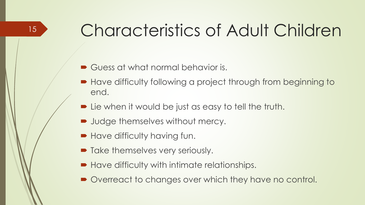### Characteristics of Adult Children

Guess at what normal behavior is.

- Have difficulty following a project through from beginning to end.
- Lie when it would be just as easy to tell the truth.
- **Judge themselves without mercy.**
- **Have difficulty having fun.**

- $\blacksquare$  Take themselves very seriously.
- Have difficulty with intimate relationships.
- Overreact to changes over which they have no control.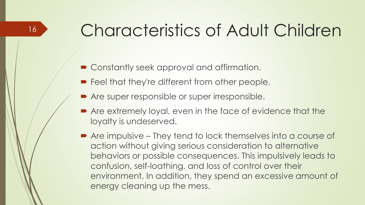### Characteristics of Adult Children

■ Constantly seek approval and affirmation.

- **Feel that they're different from other people.**
- Are super responsible or super irresponsible.
- Are extremely loyal, even in the face of evidence that the loyalty is undeserved.
- Are impulsive They tend to lock themselves into a course of action without giving serious consideration to alternative behaviors or possible consequences. This impulsively leads to confusion, self-loathing, and loss of control over their environment. In addition, they spend an excessive amount of energy cleaning up the mess.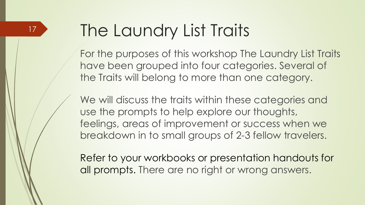### The Laundry List Traits

For the purposes of this workshop The Laundry List Traits have been grouped into four categories. Several of the Traits will belong to more than one category.

We will discuss the traits within these categories and use the prompts to help explore our thoughts, feelings, areas of improvement or success when we breakdown in to small groups of 2-3 fellow travelers.

Refer to your workbooks or presentation handouts for all prompts. There are no right or wrong answers.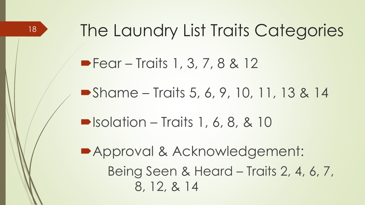The Laundry List Traits Categories ■ Fear – Traits 1, 3, 7, 8 & 12 ■ Shame – Traits 5, 6, 9, 10, 11, 13 & 14  $\blacksquare$  Isolation – Traits 1, 6, 8, & 10 Approval & Acknowledgement: Being Seen & Heard – Traits 2, 4, 6, 7, 8, 12, & 14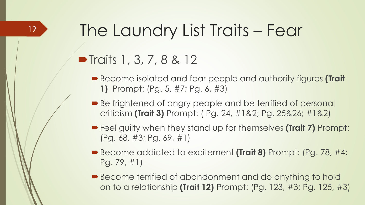### The Laundry List Traits – Fear

#### $\blacksquare$  Traits 1, 3, 7, 8 & 12

- Become isolated and fear people and authority figures **(Trait 1)** Prompt: (Pg. 5, #7; Pg. 6, #3)
- Be frightened of angry people and be terrified of personal criticism **(Trait 3)** Prompt: ( Pg. 24, #1&2; Pg. 25&26; #1&2)
- Feel guilty when they stand up for themselves **(Trait 7)** Prompt: (Pg. 68, #3; Pg. 69, #1)
- Become addicted to excitement **(Trait 8)** Prompt: (Pg. 78, #4; Pg. 79, #1)
- Become terrified of abandonment and do anything to hold on to a relationship **(Trait 12)** Prompt: (Pg. 123, #3; Pg. 125, #3)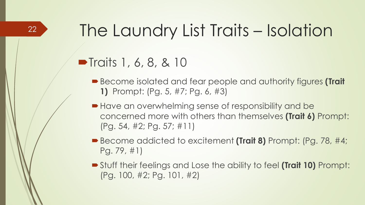### The Laundry List Traits – Isolation

#### $\blacksquare$  Traits 1, 6, 8, & 10

- Become isolated and fear people and authority figures **(Trait 1)** Prompt: (Pg. 5, #7; Pg. 6, #3)
- Have an overwhelming sense of responsibility and be concerned more with others than themselves **(Trait 6)** Prompt: (Pg. 54, #2; Pg. 57; #11)
- Become addicted to excitement **(Trait 8)** Prompt: (Pg. 78, #4; Pg. 79, #1)
- Stuff their feelings and Lose the ability to feel **(Trait 10)** Prompt: (Pg. 100, #2; Pg. 101, #2)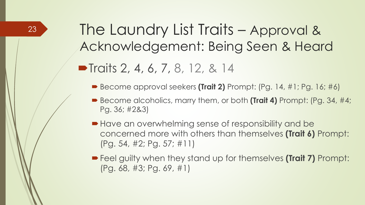#### The Laundry List Traits – Approval & Acknowledgement: Being Seen & Heard  $\blacksquare$  Traits 2, 4, 6, 7, 8, 12, & 14

- Become approval seekers **(Trait 2)** Prompt: (Pg. 14, #1; Pg. 16; #6)
- Become alcoholics, marry them, or both **(Trait 4)** Prompt: (Pg. 34, #4; Pg. 36; #2&3)
- Have an overwhelming sense of responsibility and be concerned more with others than themselves **(Trait 6)** Prompt: (Pg. 54, #2; Pg. 57; #11)
- Feel guilty when they stand up for themselves **(Trait 7)** Prompt: (Pg. 68, #3; Pg. 69, #1)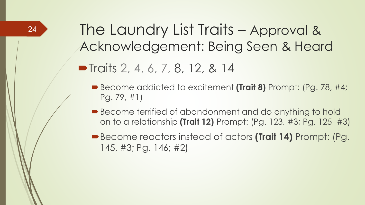The Laundry List Traits – Approval & Acknowledgement: Being Seen & Heard

 $\blacksquare$  Traits 2, 4, 6, 7, 8, 12, & 14

- Become addicted to excitement **(Trait 8)** Prompt: (Pg. 78, #4; Pg. 79, #1)
- Become terrified of abandonment and do anything to hold on to a relationship **(Trait 12)** Prompt: (Pg. 123, #3; Pg. 125, #3)
- Become reactors instead of actors **(Trait 14)** Prompt: (Pg. 145, #3; Pg. 146; #2)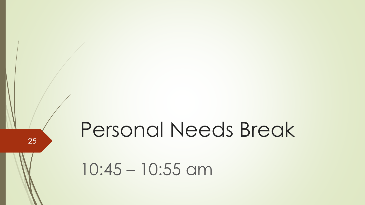Personal Needs Break

10:45 – 10:55 am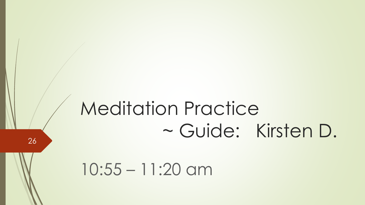## Meditation Practice ~ Guide: Kirsten D.

10:55 – 11:20 am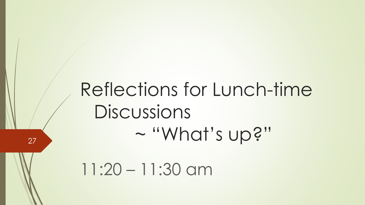### Reflections for Lunch-time Discussions ~ "What's up?"

11:20 – 11:30 am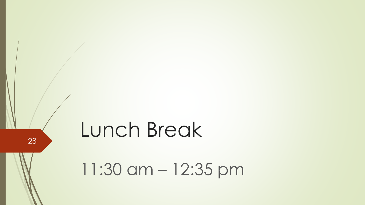### Lunch Break

28

11:30 am – 12:35 pm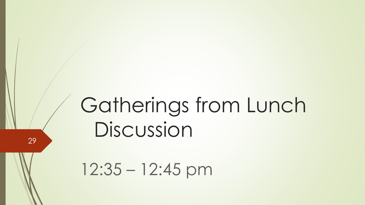## Gatherings from Lunch Discussion

12:35 – 12:45 pm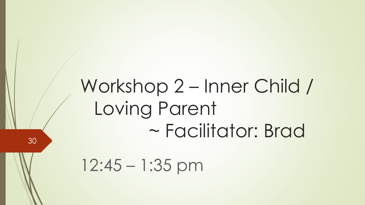### Workshop 2 – Inner Child / Loving Parent ~ Facilitator: Brad

12:45 – 1:35 pm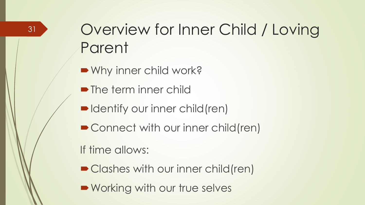#### Overview for Inner Child / Loving Parent

■ Why inner child work?

- The term inner child
- ■Identify our inner child(ren)
- Connect with our inner child(ren)

If time allows:

- Clashes with our inner child(ren)
- **Working with our true selves**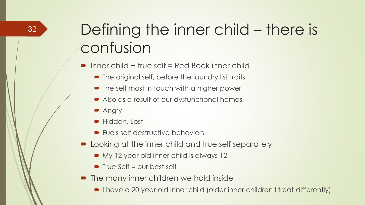### Defining the inner child – there is confusion

■ Inner child + true self = Red Book inner child

- The original self, before the laundry list traits
- The self most in touch with a higher power
- Also as a result of our dysfunctional homes
- **Angry**
- Hidden, Lost
- Fuels self destructive behaviors
- **Demoglem** Looking at the inner child and true self separately
	- My 12 year old inner child is always 12
	- $\blacksquare$  True Self = our best self
- The many inner children we hold inside
	- I have a 20 year old inner child (older inner children I treat differently)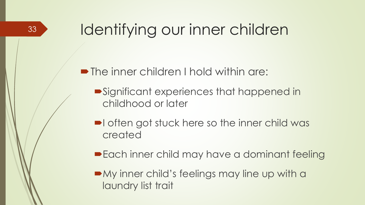#### Identifying our inner children

**• The inner children I hold within are:** 

- Significant experiences that happened in childhood or later
- I often got stuck here so the inner child was created
- **Each inner child may have a dominant feeling**

• My inner child's feelings may line up with a laundry list trait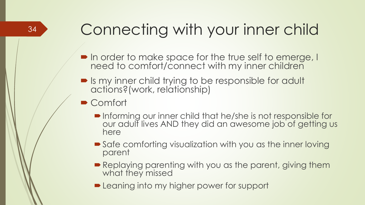### Connecting with your inner child

- In order to make space for the true self to emerge, I need to comfort/connect with my inner children
- Is my inner child trying to be responsible for adult actions?(work, relationship)
- Comfort
	- Informing our inner child that he/she is not responsible for our adulf lives AND they did an awesome job of getting us here
	- Safe comforting visualization with you as the inner loving parent
	- Replaying parenting with you as the parent, giving them what they missed
	- **Examing into my higher power for support**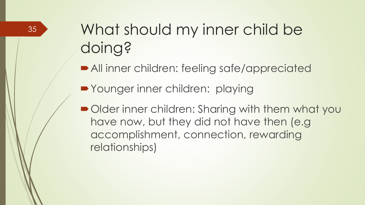### What should my inner child be doing?

All inner children: feeling safe/appreciated

■ Younger inner children: playing

■ Older inner children: Sharing with them what you have now, but they did not have then (e.g accomplishment, connection, rewarding relationships)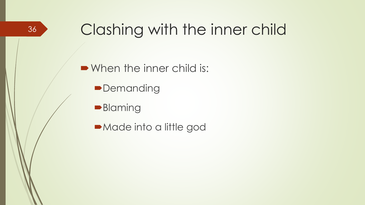#### Clashing with the inner child

• When the inner child is:

- **Demanding**
- **Blaming**
- Made into a little god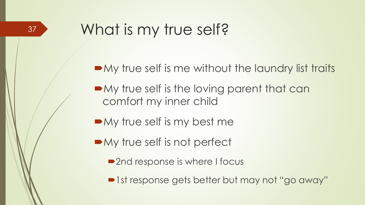#### What is my true self?

- $\blacksquare$  My true self is me without the laundry list traits
- $\blacksquare$  My true self is the loving parent that can comfort my inner child
- $\blacksquare$  My true self is my best me
- My true self is not perfect
	- 2nd response is where I focus
	- ■1st response gets better but may not "go away"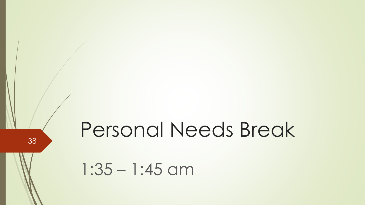# Personal Needs Break

1:35 – 1:45 am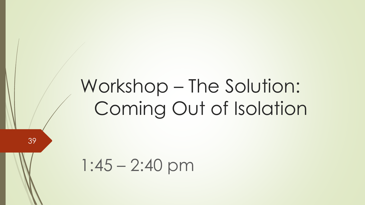## Workshop – The Solution: Coming Out of Isolation

1:45 – 2:40 pm

39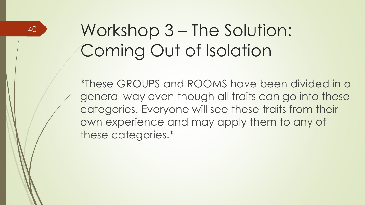### Workshop 3 – The Solution: Coming Out of Isolation

\*These GROUPS and ROOMS have been divided in a general way even though all traits can go into these categories. Everyone will see these traits from their own experience and may apply them to any of these categories.\*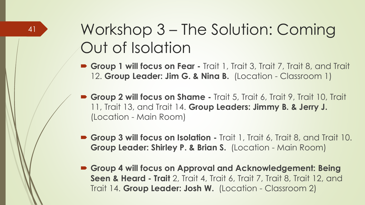#### Workshop 3 – The Solution: Coming Out of Isolation

- **Group 1 will focus on Fear -** Trait 1, Trait 3, Trait 7, Trait 8, and Trait 12. **Group Leader: Jim G. & Nina B.** (Location - Classroom 1)
- **Group 2 will focus on Shame -** Trait 5, Trait 6, Trait 9, Trait 10, Trait 11, Trait 13, and Trait 14. **Group Leaders: Jimmy B. & Jerry J.** (Location - Main Room)
- **Group 3 will focus on Isolation -** Trait 1, Trait 6, Trait 8, and Trait 10. **Group Leader: Shirley P. & Brian S.** (Location - Main Room)
- **Group 4 will focus on Approval and Acknowledgement: Being Seen & Heard - Trait** 2, Trait 4, Trait 6, Trait 7, Trait 8, Trait 12, and Trait 14. **Group Leader: Josh W.** (Location - Classroom 2)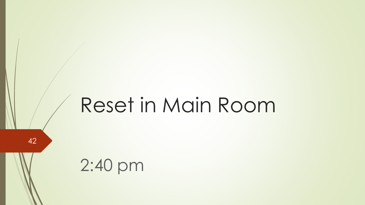## Reset in Main Room

42

2:40 pm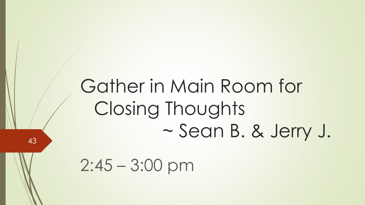### Gather in Main Room for Closing Thoughts ~ Sean B. & Jerry J.

 $2:45 - 3:00$  pm